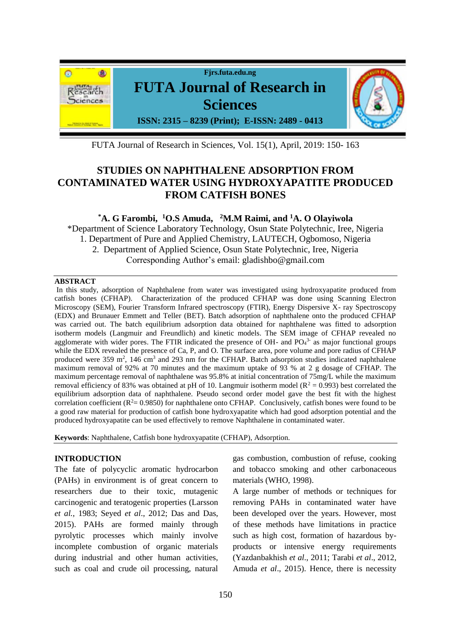

FUTA Journal of Research in Sciences, Vol. 15(1), April, 2019: 150- 163

# **STUDIES ON NAPHTHALENE ADSORPTION FROM CONTAMINATED WATER USING HYDROXYAPATITE PRODUCED FROM CATFISH BONES**

## **\*A. G Farombi,<sup>1</sup>O.S Amuda, <sup>2</sup>M.M Raimi, and <sup>1</sup>A. O Olayiwola**

\*Department of Science Laboratory Technology, Osun State Polytechnic, Iree, Nigeria 1. Department of Pure and Applied Chemistry, LAUTECH, Ogbomoso, Nigeria 2. Department of Applied Science, Osun State Polytechnic, Iree, Nigeria Corresponding Author's email: gladishbo@gmail.com

## **ABSTRACT**

In this study, adsorption of Naphthalene from water was investigated using hydroxyapatite produced from catfish bones (CFHAP). Characterization of the produced CFHAP was done using Scanning Electron Microscopy (SEM), Fourier Transform Infrared spectroscopy (FTIR), Energy Dispersive X- ray Spectroscopy (EDX) and Brunauer Emmett and Teller (BET). Batch adsorption of naphthalene onto the produced CFHAP was carried out. The batch equilibrium adsorption data obtained for naphthalene was fitted to adsorption isotherm models (Langmuir and Freundlich) and kinetic models. The SEM image of CFHAP revealed no agglomerate with wider pores. The FTIR indicated the presence of OH- and  $PO<sub>4</sub><sup>3-</sup>$  as major functional groups while the EDX revealed the presence of Ca, P, and O. The surface area, pore volume and pore radius of CFHAP produced were 359 m<sup>2</sup>, 146 cm<sup>3</sup> and 293 nm for the CFHAP. Batch adsorption studies indicated naphthalene maximum removal of 92% at 70 minutes and the maximum uptake of 93 % at 2 g dosage of CFHAP. The maximum percentage removal of naphthalene was 95.8% at initial concentration of 75mg/L while the maximum removal efficiency of 83% was obtained at pH of 10. Langmuir isotherm model ( $R^2 = 0.993$ ) best correlated the equilibrium adsorption data of naphthalene. Pseudo second order model gave the best fit with the highest correlation coefficient  $(R^2 = 0.9850)$  for naphthalene onto CFHAP. Conclusively, catfish bones were found to be a good raw material for production of catfish bone hydroxyapatite which had good adsorption potential and the produced hydroxyapatite can be used effectively to remove Naphthalene in contaminated water.

**Keywords**: Naphthalene, Catfish bone hydroxyapatite (CFHAP), Adsorption.

## **INTRODUCTION**

The fate of polycyclic aromatic hydrocarbon (PAHs) in environment is of great concern to researchers due to their toxic, mutagenic carcinogenic and teratogenic properties (Larsson *et al.*, 1983; Seyed *et al*., 2012; Das and Das, 2015). PAHs are formed mainly through pyrolytic processes which mainly involve incomplete combustion of organic materials during industrial and other human activities, such as coal and crude oil processing, natural

gas combustion, combustion of refuse, cooking and tobacco smoking and other carbonaceous materials (WHO, 1998).

A large number of methods or techniques for removing PAHs in contaminated water have been developed over the years. However, most of these methods have limitations in practice such as high cost, formation of hazardous byproducts or intensive energy requirements (Yazdanbakhish *et al*., 2011; Tarabi *et al*., 2012, Amuda *et al*., 2015). Hence, there is necessity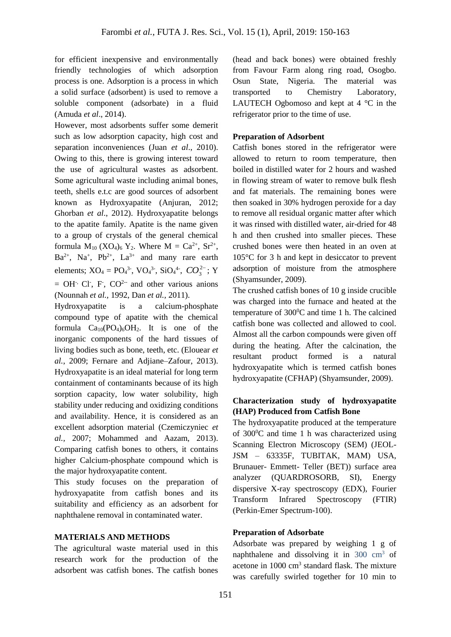for efficient inexpensive and environmentally friendly technologies of which adsorption process is one. Adsorption is a process in which a solid surface (adsorbent) is used to remove a soluble component (adsorbate) in a fluid (Amuda *et al*., 2014).

However, most adsorbents suffer some demerit such as low adsorption capacity, high cost and separation inconveniences (Juan *et al*., 2010). Owing to this, there is growing interest toward the use of agricultural wastes as adsorbent. Some agricultural waste including animal bones, teeth, shells e.t.c are good sources of adsorbent known as Hydroxyapatite (Anjuran, 2012; Ghorban *et al*., 2012). Hydroxyapatite belongs to the apatite family. Apatite is the name given to a group of crystals of the general chemical formula  $M_{10}$  (XO<sub>4</sub>)<sub>6</sub> Y<sub>2</sub>. Where  $M = Ca^{2+}$ , Sr<sup>2+</sup>,  $Ba^{2+}$ , Na<sup>+</sup>, Pb<sup>2+</sup>, La<sup>3+</sup> and many rare earth elements;  $XO_4 = PO_4^{3}$ ,  $VO_4^{3}$ ,  $SiO_4^{4}$ ,  $CO_3^{2}$ ; Y  $=$  OH<sup>-,</sup> Cl<sup>-</sup>, F<sup>-</sup>, CO<sup>2--</sup> and other various anions (Nounnah *et al.,* 1992, Dan *et al.,* 2011).

Hydroxyapatite is a calcium-phosphate compound type of apatite with the chemical formula  $Ca_{10}(PO_4)_6OH_2$ . It is one of the inorganic components of the hard tissues of living bodies such as bone, teeth, etc. (Elouear *et al.*, 2009; Fernare and Adjiane–Zafour, 2013). Hydroxyapatite is an ideal material for long term containment of contaminants because of its high sorption capacity, low water solubility, high stability under reducing and oxidizing conditions and availability. Hence, it is considered as an excellent adsorption material (Czemiczyniec *et al.,* 2007; Mohammed and Aazam, 2013). Comparing catfish bones to others, it contains higher Calcium-phosphate compound which is the major hydroxyapatite content.

This study focuses on the preparation of hydroxyapatite from catfish bones and its suitability and efficiency as an adsorbent for naphthalene removal in contaminated water.

## **MATERIALS AND METHODS**

The agricultural waste material used in this research work for the production of the adsorbent was catfish bones. The catfish bones

(head and back bones) were obtained freshly from Favour Farm along ring road, Osogbo. Osun State, Nigeria. The material was transported to Chemistry Laboratory, LAUTECH Ogbomoso and kept at  $4 \degree C$  in the refrigerator prior to the time of use.

## **Preparation of Adsorbent**

Catfish bones stored in the refrigerator were allowed to return to room temperature, then boiled in distilled water for 2 hours and washed in flowing stream of water to remove bulk flesh and fat materials. The remaining bones were then soaked in 30% hydrogen peroxide for a day to remove all residual organic matter after which it was rinsed with distilled water, air-dried for 48 h and then crushed into smaller pieces. These crushed bones were then heated in an oven at 105°C for 3 h and kept in desiccator to prevent adsorption of moisture from the atmosphere (Shyamsunder, 2009).

The crushed catfish bones of 10 g inside crucible was charged into the furnace and heated at the temperature of  $300^{\circ}$ C and time 1 h. The calcined catfish bone was collected and allowed to cool. Almost all the carbon compounds were given off during the heating. After the calcination, the resultant product formed is a natural hydroxyapatite which is termed catfish bones hydroxyapatite (CFHAP) (Shyamsunder, 2009).

## **Characterization study of hydroxyapatite (HAP) Produced from Catfish Bone**

The hydroxyapatite produced at the temperature of 300<sup>0</sup>C and time 1 h was characterized using Scanning Electron Microscopy (SEM) (JEOL-JSM – 63335F, TUBITAK, MAM) USA, Brunauer- Emmett- Teller (BET)) surface area analyzer (QUARDROSORB, SI), Energy dispersive X-ray spectroscopy (EDX), Fourier Transform Infrared Spectroscopy (FTIR) (Perkin-Emer Spectrum-100).

## **Preparation of Adsorbate**

Adsorbate was prepared by weighing 1 g of naphthalene and dissolving it in 300 cm<sup>3</sup> of acetone in 1000 cm<sup>3</sup> standard flask. The mixture was carefully swirled together for 10 min to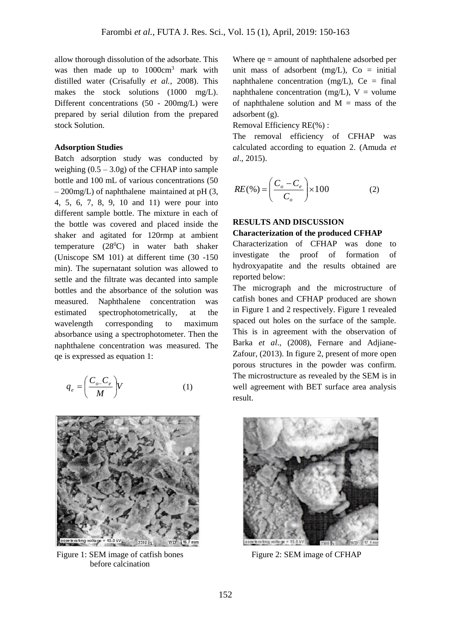allow thorough dissolution of the adsorbate. This was then made up to  $1000 \text{cm}^3$  mark with distilled water (Crisafully *et al.,* 2008). This makes the stock solutions (1000 mg/L). Different concentrations (50 - 200mg/L) were prepared by serial dilution from the prepared stock Solution.

### **Adsorption Studies**

Batch adsorption study was conducted by weighing  $(0.5 - 3.0g)$  of the CFHAP into sample bottle and 100 mL of various concentrations (50 – 200mg/L) of naphthalene maintained at pH (3, 4, 5, 6, 7, 8, 9, 10 and 11) were pour into different sample bottle. The mixture in each of the bottle was covered and placed inside the shaker and agitated for 120rmp at ambient temperature  $(28^{\circ}\text{C})$  in water bath shaker (Uniscope SM 101) at different time (30 -150 min). The supernatant solution was allowed to settle and the filtrate was decanted into sample bottles and the absorbance of the solution was measured. Naphthalene concentration was estimated spectrophotometrically, at the wavelength corresponding to maximum absorbance using a spectrophotometer. Then the naphthalene concentration was measured. The qe is expressed as equation 1:

$$
q_e = \left(\frac{C_{o-}C_e}{M}\right)V\tag{1}
$$



Figure 1: SEM image of catfish bones Figure 2: SEM image of CFHAP before calcination

Where qe = amount of naphthalene adsorbed per unit mass of adsorbent  $(mg/L)$ , Co = initial naphthalene concentration (mg/L),  $Ce = final$ naphthalene concentration (mg/L),  $V =$  volume of naphthalene solution and  $M =$  mass of the adsorbent (g).

Removal Efficiency RE(%) :

The removal efficiency of CFHAP was calculated according to equation 2. (Amuda *et al*., 2015).

$$
RE(\%) = \left(\frac{C_o - C_e}{C_o}\right) \times 100\tag{2}
$$

## **RESULTS AND DISCUSSION**

#### **Characterization of the produced CFHAP**

Characterization of CFHAP was done to investigate the proof of formation of hydroxyapatite and the results obtained are reported below:

The micrograph and the microstructure of catfish bones and CFHAP produced are shown in Figure 1 and 2 respectively. Figure 1 revealed spaced out holes on the surface of the sample. This is in agreement with the observation of Barka *et al*., (2008), Fernare and Adjiane-Zafour, (2013). In figure 2, present of more open porous structures in the powder was confirm. The microstructure as revealed by the SEM is in well agreement with BET surface area analysis result.

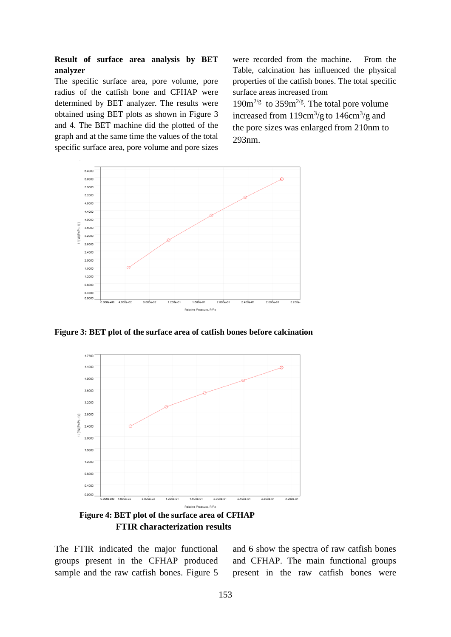## **Result of surface area analysis by BET analyzer**

The specific surface area, pore volume, pore radius of the catfish bone and CFHAP were determined by BET analyzer. The results were obtained using BET plots as shown in Figure 3 and 4. The BET machine did the plotted of the graph and at the same time the values of the total specific surface area, pore volume and pore sizes

were recorded from the machine. From the Table, calcination has influenced the physical properties of the catfish bones. The total specific surface areas increased from  $190m^{2/g}$  to  $359m^{2/g}$ . The total pore volume increased from  $119 \text{cm}^3/\text{g}$  to  $146 \text{cm}^3/\text{g}$  and the pore sizes was enlarged from 210nm to 293nm.



**Figure 3: BET plot of the surface area of catfish bones before calcination**



 **FTIR characterization results**

The FTIR indicated the major functional groups present in the CFHAP produced sample and the raw catfish bones. Figure 5

and 6 show the spectra of raw catfish bones and CFHAP. The main functional groups present in the raw catfish bones were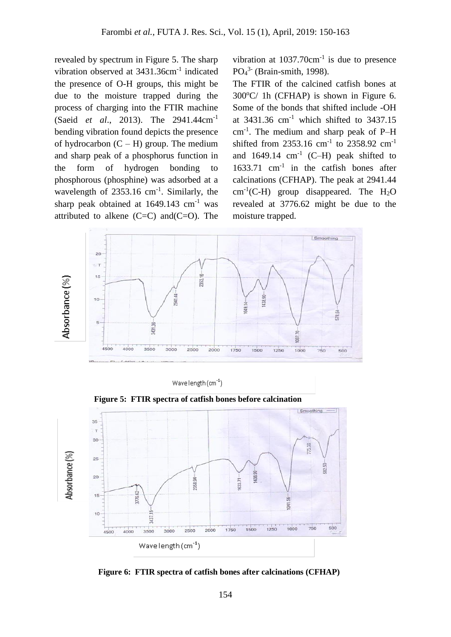revealed by spectrum in Figure 5. The sharp vibration observed at 3431.36cm<sup>-1</sup> indicated the presence of O-H groups, this might be due to the moisture trapped during the process of charging into the FTIR machine (Saeid *et al*., 2013). The 2941.44cm-1 bending vibration found depicts the presence of hydrocarbon  $(C - H)$  group. The medium and sharp peak of a phosphorus function in the form of hydrogen bonding to phosphorous (phosphine) was adsorbed at a wavelength of 2353.16 cm<sup>-1</sup>. Similarly, the sharp peak obtained at  $1649.143$  cm<sup>-1</sup> was attributed to alkene  $(C=C)$  and $(C=O)$ . The

vibration at  $1037.70 \text{cm}^{-1}$  is due to presence PO<sub>4</sub><sup>3</sup> (Brain-smith, 1998).

The FTIR of the calcined catfish bones at  $300^{\circ}$ C/ 1h (CFHAP) is shown in Figure 6. Some of the bonds that shifted include -OH at  $3431.36$  cm<sup>-1</sup> which shifted to  $3437.15$ cm-1 . The medium and sharp peak of P–H shifted from 2353.16 cm<sup>-1</sup> to 2358.92 cm<sup>-1</sup> and  $1649.14$  cm<sup>-1</sup> (C-H) peak shifted to 1633.71 cm-1 in the catfish bones after calcinations (CFHAP). The peak at 2941.44  $cm^{-1}(C-H)$  group disappeared. The  $H_2O$ revealed at 3776.62 might be due to the moisture trapped.



Wavelength $(cm^{-1})$ 

Smoothing - $35$  $\mathbf{r}$  $30$ Absorbance (%) 25 438.90  $20$  $2358.94 -$ 633.71 3776.62 15  $36$  $\overline{8}$ M37. 500 1000 750  $1500$ 1250 3500  $2500$ 1750  $3000$  $2000$  $4000$ 4500 Wavelength (cm<sup>-1</sup>)

 **Figure 5: FTIR spectra of catfish bones before calcination** 

 **Figure 6: FTIR spectra of catfish bones after calcinations (CFHAP)**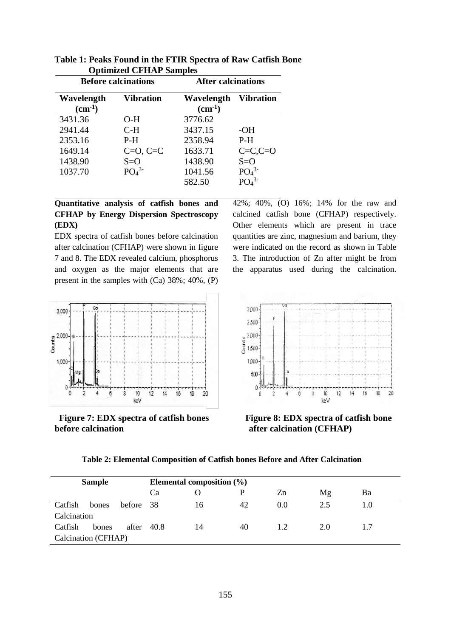| <b>Before calcinations</b>       |                              | <b>After calcinations</b> |                              |  |
|----------------------------------|------------------------------|---------------------------|------------------------------|--|
| Wavelength<br>$\text{(cm}^{-1})$ | <b>Vibration</b>             | Wavelength<br>$(cm-1)$    | <b>Vibration</b>             |  |
| 3431.36                          | O-H                          | 3776.62                   |                              |  |
| 2941.44                          | $C-H$                        | 3437.15                   | $-OH$                        |  |
| 2353.16                          | $P-H$                        | 2358.94                   | $P-H$                        |  |
| 1649.14                          | $C=O, C=C$                   | 1633.71                   | $C=C_1C=O$                   |  |
| 1438.90                          | $S=O$                        | 1438.90                   | $S=O$                        |  |
| 1037.70                          | PO <sub>4</sub> <sup>3</sup> | 1041.56                   | PO <sub>4</sub> <sup>3</sup> |  |
|                                  |                              | 582.50                    | $PQ_A^{3-}$                  |  |

**Table 1: Peaks Found in the FTIR Spectra of Raw Catfish Bone Optimized CFHAP Samples**

## **Quantitative analysis of catfish bones and CFHAP by Energy Dispersion Spectroscopy (EDX)**

EDX spectra of catfish bones before calcination after calcination (CFHAP) were shown in figure 7 and 8. The EDX revealed calcium, phosphorus and oxygen as the major elements that are present in the samples with (Ca) 38%; 40%, (P) 42%; 40%, (O) 16%; 14% for the raw and calcined catfish bone (CFHAP) respectively. Other elements which are present in trace quantities are zinc, magnesium and barium, they were indicated on the record as shown in Table 3. The introduction of Zn after might be from the apparatus used during the calcination.



**before calcination before calcination after calcination (CFHAP)** 



**Figure** 7: **EDX** spectra of catfish bones **Figure 8: EDX** spectra of catfish bone

**Table 2: Elemental Composition of Catfish bones Before and After Calcination** 

| <b>Sample</b>       |       | Elemental composition $(\% )$ |           |    |    |     |     |     |  |
|---------------------|-------|-------------------------------|-----------|----|----|-----|-----|-----|--|
|                     |       |                               | <b>Ca</b> |    |    | Zn  | Mg  | Ba  |  |
| Catfish             | bones | before 38                     |           | 16 | 42 | 0.0 | 2.5 | 1.0 |  |
| Calcination         |       |                               |           |    |    |     |     |     |  |
| Catfish             | bones | after                         | 40.8      | 14 | 40 | 1.2 | 2.0 | 1.7 |  |
| Calcination (CFHAP) |       |                               |           |    |    |     |     |     |  |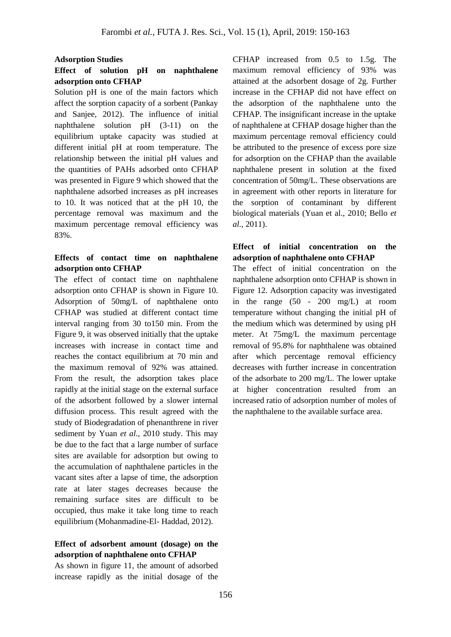#### **Adsorption Studies**

## **Effect of solution pH on naphthalene adsorption onto CFHAP**

Solution pH is one of the main factors which affect the sorption capacity of a sorbent (Pankay and Sanjee, 2012). The influence of initial naphthalene solution pH (3-11) on the equilibrium uptake capacity was studied at different initial pH at room temperature. The relationship between the initial pH values and the quantities of PAHs adsorbed onto CFHAP was presented in Figure 9 which showed that the naphthalene adsorbed increases as pH increases to 10. It was noticed that at the pH 10, the percentage removal was maximum and the maximum percentage removal efficiency was 83%.

## **Effects of contact time on naphthalene adsorption onto CFHAP**

The effect of contact time on naphthalene adsorption onto CFHAP is shown in Figure 10. Adsorption of 50mg/L of naphthalene onto CFHAP was studied at different contact time interval ranging from 30 to150 min. From the Figure 9, it was observed initially that the uptake increases with increase in contact time and reaches the contact equilibrium at 70 min and the maximum removal of 92% was attained. From the result, the adsorption takes place rapidly at the initial stage on the external surface of the adsorbent followed by a slower internal diffusion process. This result agreed with the study of Biodegradation of phenanthrene in river sediment by Yuan *et al.*, 2010 study. This may be due to the fact that a large number of surface sites are available for adsorption but owing to the accumulation of naphthalene particles in the vacant sites after a lapse of time, the adsorption rate at later stages decreases because the remaining surface sites are difficult to be occupied, thus make it take long time to reach equilibrium (Mohanmadine-El- Haddad, 2012).

## **Effect of adsorbent amount (dosage) on the adsorption of naphthalene onto CFHAP**

As shown in figure 11, the amount of adsorbed increase rapidly as the initial dosage of the CFHAP increased from 0.5 to 1.5g. The maximum removal efficiency of 93% was attained at the adsorbent dosage of 2g. Further increase in the CFHAP did not have effect on the adsorption of the naphthalene unto the CFHAP. The insignificant increase in the uptake of naphthalene at CFHAP dosage higher than the maximum percentage removal efficiency could be attributed to the presence of excess pore size for adsorption on the CFHAP than the available naphthalene present in solution at the fixed concentration of 50mg/L. These observations are in agreement with other reports in literature for the sorption of contaminant by different biological materials (Yuan et al., 2010; Bello *et al.,* 2011).

## **Effect of initial concentration on the adsorption of naphthalene onto CFHAP**

The effect of initial concentration on the naphthalene adsorption onto CFHAP is shown in Figure 12. Adsorption capacity was investigated in the range (50 - 200 mg/L) at room temperature without changing the initial pH of the medium which was determined by using pH meter. At 75mg/L the maximum percentage removal of 95.8% for naphthalene was obtained after which percentage removal efficiency decreases with further increase in concentration of the adsorbate to 200 mg/L. The lower uptake at higher concentration resulted from an increased ratio of adsorption number of moles of the naphthalene to the available surface area.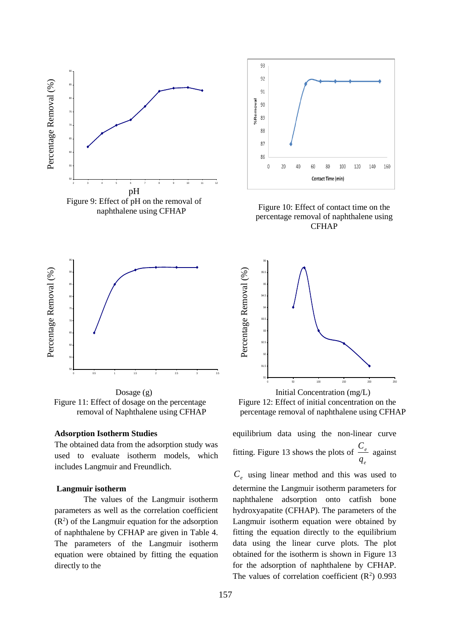



 Dosage (g) Figure 11: Effect of dosage on the percentage removal of Naphthalene using CFHAP

#### **Adsorption Isotherm Studies**

The obtained data from the adsorption study was used to evaluate isotherm models, which includes Langmuir and Freundlich.

#### **Langmuir isotherm**

 The values of the Langmuir isotherm parameters as well as the correlation coefficient  $(R<sup>2</sup>)$  of the Langmuir equation for the adsorption of naphthalene by CFHAP are given in Table 4. The parameters of the Langmuir isotherm equation were obtained by fitting the equation directly to the



Figure 10: Effect of contact time on the percentage removal of naphthalene using CFHAP



Figure 12: Effect of initial concentration on the percentage removal of naphthalene using CFHAP

equilibrium data using the non-linear curve fitting. Figure 13 shows the plots of  $\frac{C_e}{C}$ *e q* against

*Ce* using linear method and this was used to determine the Langmuir isotherm parameters for naphthalene adsorption onto catfish bone hydroxyapatite (CFHAP). The parameters of the Langmuir isotherm equation were obtained by fitting the equation directly to the equilibrium data using the linear curve plots. The plot obtained for the isotherm is shown in Figure 13 for the adsorption of naphthalene by CFHAP. The values of correlation coefficient  $(R^2)$  0.993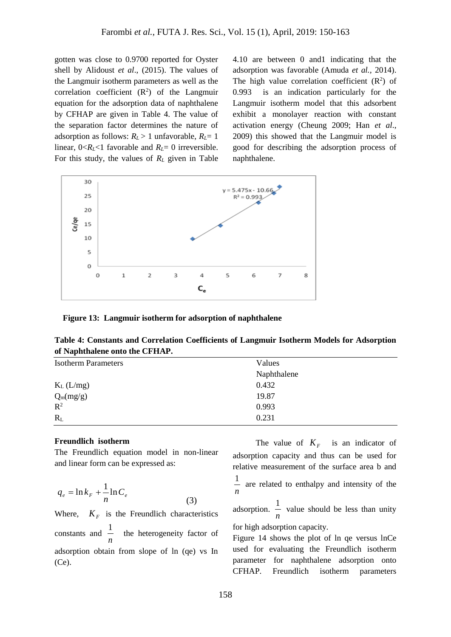gotten was close to 0.9700 reported for Oyster shell by Alidoust *et al*., (2015). The values of the Langmuir isotherm parameters as well as the correlation coefficient  $(R^2)$  of the Langmuir equation for the adsorption data of naphthalene by CFHAP are given in Table 4. The value of the separation factor determines the nature of adsorption as follows:  $R_L > 1$  unfavorable,  $R_L = 1$ linear,  $0 < R_L < 1$  favorable and  $R_L = 0$  irreversible. For this study, the values of *R<sup>L</sup>* given in Table

4.10 are between 0 and1 indicating that the adsorption was favorable (Amuda *et al.,* 2014). The high value correlation coefficient  $(R^2)$  of 0.993 is an indication particularly for the Langmuir isotherm model that this adsorbent exhibit a monolayer reaction with constant activation energy (Cheung 2009; Han *et al*., 2009) this showed that the Langmuir model is good for describing the adsorption process of naphthalene.



 **Figure 13: Langmuir isotherm for adsorption of naphthalene**

**Table 4: Constants and Correlation Coefficients of Langmuir Isotherm Models for Adsorption of Naphthalene onto the CFHAP.**

| <b>Isotherm Parameters</b> | Values      |
|----------------------------|-------------|
|                            | Naphthalene |
| $K_L$ (L/mg)               | 0.432       |
| $Q_m(mg/g)$                | 19.87       |
| $R^2$                      | 0.993       |
| $R_L$                      | 0.231       |

#### **Freundlich isotherm**

The Freundlich equation model in non-linear and linear form can be expressed as:

$$
q_e = \ln k_F + \frac{1}{n} \ln C_e \tag{3}
$$

Where,  $K_F$  is the Freundlich characteristics constants and *n* 1 the heterogeneity factor of adsorption obtain from slope of ln (qe) vs In (Ce).

The value of  $K_F$  is an indicator of adsorption capacity and thus can be used for relative measurement of the surface area b and *n*  $\frac{1}{x}$  are related to enthalpy and intensity of the

adsorption. *n*  $\frac{1}{x}$  value should be less than unity

for high adsorption capacity.

Figure 14 shows the plot of ln qe versus lnCe used for evaluating the Freundlich isotherm parameter for naphthalene adsorption onto CFHAP. Freundlich isotherm parameters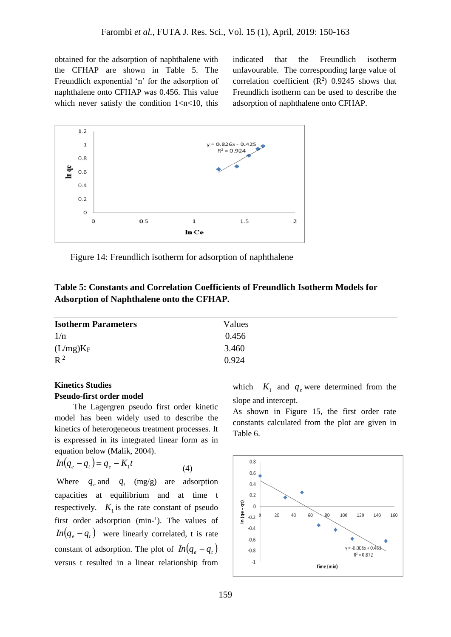obtained for the adsorption of naphthalene with the CFHAP are shown in Table 5. The Freundlich exponential 'n' for the adsorption of naphthalene onto CFHAP was 0.456. This value which never satisfy the condition  $1 < n < 10$ , this indicated that the Freundlich isotherm unfavourable. The corresponding large value of correlation coefficient  $(R^2)$  0.9245 shows that Freundlich isotherm can be used to describe the adsorption of naphthalene onto CFHAP.



Figure 14: Freundlich isotherm for adsorption of naphthalene

| Table 5: Constants and Correlation Coefficients of Freundlich Isotherm Models for |
|-----------------------------------------------------------------------------------|
| <b>Adsorption of Naphthalene onto the CFHAP.</b>                                  |

| <b>Isotherm Parameters</b> | Values |  |
|----------------------------|--------|--|
| 1/n                        | 0.456  |  |
| $(L/mg)K_F$                | 3.460  |  |
| $R^2$                      | 0.924  |  |

## **Kinetics Studies Pseudo-first order model**

 The Lagergren pseudo first order kinetic model has been widely used to describe the kinetics of heterogeneous treatment processes. It is expressed in its integrated linear form as in equation below (Malik, 2004).

$$
In(q_e - q_t) = q_e - K_1 t \tag{4}
$$

Where  $q_e$  and  $q_t$  (mg/g) are adsorption capacities at equilibrium and at time t respectively.  $K_1$  is the rate constant of pseudo first order adsorption (min-1). The values of  $ln(q_e - q_t)$  were linearly correlated, t is rate constant of adsorption. The plot of  $ln(q_e - q_t)$ versus t resulted in a linear relationship from

which  $K_1$  and  $q_e$  were determined from the slope and intercept.

As shown in Figure 15, the first order rate constants calculated from the plot are given in Table 6.

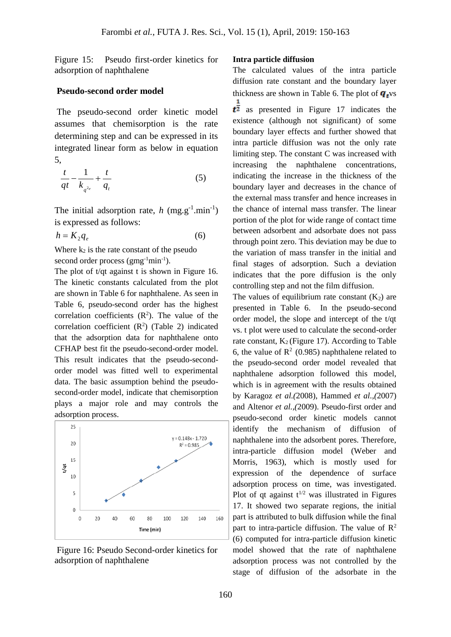Figure 15: Pseudo first-order kinetics for adsorption of naphthalene

## **Pseudo-second order model**

The pseudo-second order kinetic model assumes that chemisorption is the rate determining step and can be expressed in its integrated linear form as below in equation 5,

$$
\frac{t}{qt} - \frac{1}{k_{q^{2e}}} + \frac{t}{q_t} \tag{5}
$$

The initial adsorption rate,  $h$  (mg.g<sup>-1</sup>.min<sup>-1</sup>) is expressed as follows:

$$
h = K_2 q_e \tag{6}
$$

Where  $k_2$  is the rate constant of the pseudo second order process (gmg<sup>-1</sup>min<sup>-1</sup>).

The plot of t/qt against t is shown in Figure 16. The kinetic constants calculated from the plot are shown in Table 6 for naphthalene. As seen in Table 6, pseudo-second order has the highest correlation coefficients  $(R<sup>2</sup>)$ . The value of the correlation coefficient  $(R^2)$  (Table 2) indicated that the adsorption data for naphthalene onto CFHAP best fit the pseudo-second-order model. This result indicates that the pseudo-secondorder model was fitted well to experimental data. The basic assumption behind the pseudosecond-order model, indicate that chemisorption plays a major role and may controls the adsorption process.



Figure 16: Pseudo Second-order kinetics for adsorption of naphthalene

#### **Intra particle diffusion**

The calculated values of the intra particle diffusion rate constant and the boundary layer thickness are shown in Table 6. The plot of  $\mathbf{q}_{t}$  vs

 $t^{\frac{1}{2}}$  as presented in Figure 17 indicates the existence (although not significant) of some boundary layer effects and further showed that intra particle diffusion was not the only rate limiting step. The constant C was increased with increasing the naphthalene concentrations, indicating the increase in the thickness of the boundary layer and decreases in the chance of the external mass transfer and hence increases in the chance of internal mass transfer. The linear portion of the plot for wide range of contact time between adsorbent and adsorbate does not pass through point zero. This deviation may be due to the variation of mass transfer in the initial and final stages of adsorption. Such a deviation indicates that the pore diffusion is the only controlling step and not the film diffusion.

The values of equilibrium rate constant  $(K_2)$  are presented in Table 6. In the pseudo-second order model, the slope and intercept of the t/qt vs. t plot were used to calculate the second-order rate constant,  $K_2$  (Figure 17). According to Table 6, the value of  $\mathbb{R}^2$  (0.985) naphthalene related to the pseudo-second order model revealed that naphthalene adsorption followed this model, which is in agreement with the results obtained by Karagoz *et al.(*2008), Hammed *et al.,(*2007) and Altenor *et al.,(*2009). Pseudo-first order and pseudo-second order kinetic models cannot identify the mechanism of diffusion of naphthalene into the adsorbent pores. Therefore, intra-particle diffusion model (Weber and Morris, 1963), which is mostly used for expression of the dependence of surface adsorption process on time, was investigated. Plot of at against  $t^{1/2}$  was illustrated in Figures 17. It showed two separate regions, the initial part is attributed to bulk diffusion while the final part to intra-particle diffusion. The value of  $\mathbb{R}^2$ (6) computed for intra-particle diffusion kinetic model showed that the rate of naphthalene adsorption process was not controlled by the stage of diffusion of the adsorbate in the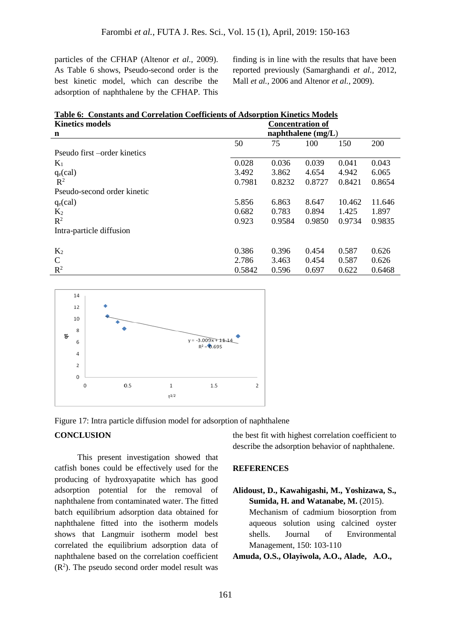particles of the CFHAP (Altenor *et al.,* 2009). As Table 6 shows, Pseudo-second order is the best kinetic model, which can describe the adsorption of naphthalene by the CFHAP. This finding is in line with the results that have been reported previously (Samarghandi *et al.,* 2012, Mall *et al.,* 2006 and Altenor *et al.,* 2009).

| <b>Table 6: Constants and Correlation Coefficients of Adsorption Kinetics Models</b> |                         |        |        |        |        |  |
|--------------------------------------------------------------------------------------|-------------------------|--------|--------|--------|--------|--|
| <b>Kinetics models</b>                                                               | <b>Concentration of</b> |        |        |        |        |  |
| n                                                                                    | naphthalene $(mg/L)$    |        |        |        |        |  |
|                                                                                      | 50                      | 75     | 100    | 150    | 200    |  |
| Pseudo first – order kinetics                                                        |                         |        |        |        |        |  |
| $K_1$                                                                                | 0.028                   | 0.036  | 0.039  | 0.041  | 0.043  |  |
| $q_e$ (cal)                                                                          | 3.492                   | 3.862  | 4.654  | 4.942  | 6.065  |  |
| $\mathbb{R}^2$                                                                       | 0.7981                  | 0.8232 | 0.8727 | 0.8421 | 0.8654 |  |
| Pseudo-second order kinetic                                                          |                         |        |        |        |        |  |
| $q_e$ (cal)                                                                          | 5.856                   | 6.863  | 8.647  | 10.462 | 11.646 |  |
| $K_2$                                                                                | 0.682                   | 0.783  | 0.894  | 1.425  | 1.897  |  |
| $R^2$                                                                                | 0.923                   | 0.9584 | 0.9850 | 0.9734 | 0.9835 |  |
| Intra-particle diffusion                                                             |                         |        |        |        |        |  |
|                                                                                      |                         |        |        |        |        |  |
| $K_2$                                                                                | 0.386                   | 0.396  | 0.454  | 0.587  | 0.626  |  |
| $\mathsf{C}$                                                                         | 2.786                   | 3.463  | 0.454  | 0.587  | 0.626  |  |
| $R^2$                                                                                | 0.5842                  | 0.596  | 0.697  | 0.622  | 0.6468 |  |





## **CONCLUSION**

 This present investigation showed that catfish bones could be effectively used for the producing of hydroxyapatite which has good adsorption potential for the removal of naphthalene from contaminated water. The fitted batch equilibrium adsorption data obtained for naphthalene fitted into the isotherm models shows that Langmuir isotherm model best correlated the equilibrium adsorption data of naphthalene based on the correlation coefficient  $(R<sup>2</sup>)$ . The pseudo second order model result was the best fit with highest correlation coefficient to describe the adsorption behavior of naphthalene.

#### **REFERENCES**

**Alidoust, D., Kawahigashi, M., Yoshizawa, S., Sumida, H. and Watanabe, M.** (2015). Mechanism of cadmium biosorption from aqueous solution using calcined oyster shells. Journal of Environmental Management, 150: 103-110

**Amuda, O.S., Olayiwola, A.O., Alade, A.O.,**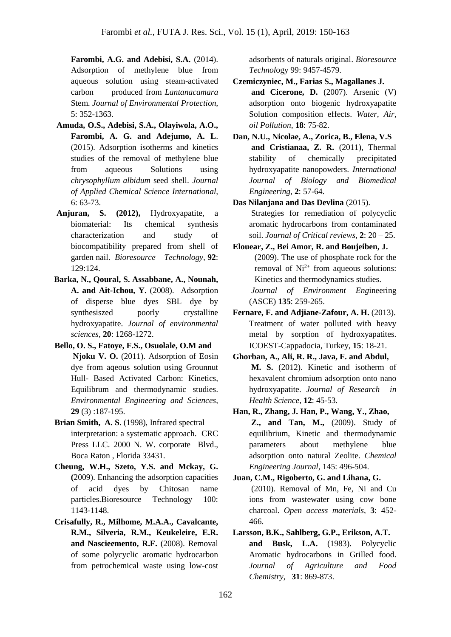**Farombi, A.G. and Adebisi, S.A.** (2014). Adsorption of methylene blue from aqueous solution using steam-activated carbon produced from *Lantanacamara*  Stem. *Journal of Environmental Protection,* 5: 352-1363.

- **Amuda, O.S., Adebisi, S.A., Olayiwola, A.O., Farombi, A. G. and Adejumo, A. L**. (2015). Adsorption isotherms and kinetics studies of the removal of methylene blue from aqueous Solutions using *chrysophyllum albidum* seed shell. *Journal of Applied Chemical Science International,* 6: 63-73.
- **Anjuran, S. (2012),** Hydroxyapatite, a biomaterial: Its chemical synthesis characterization and study of biocompatibility prepared from shell of garden nail. *Bioresource Technology,* **92**: 129:124.
- **Barka, N., Qoural, S. Assabbane, A., Nounah, A. and Ait-Ichou, Y.** (2008). Adsorption of disperse blue dyes SBL dye by synthesiszed poorly crystalline hydroxyapatite. *Journal of environmental sciences,* **20**: 1268-1272.
- **Bello, O. S., Fatoye, F.S., Osuolale, O.M and Njoku V. O.** (2011). Adsorption of Eosin dye from aqeous solution using Grounnut Hull- Based Activated Carbon: Kinetics, Equilibrum and thermodynamic studies. *Environmental Engineering and Sciences*, **29** (3) :187-195.
- **Brian Smith, A. S**. (1998), Infrared spectral interpretation: a systematic approach. CRC Press LLC. 2000 N. W. corporate Blvd., Boca Raton , Florida 33431.
- **Cheung, W.H., Szeto, Y.S. and Mckay, G. (**2009). Enhancing the adsorption capacities of acid dyes by Chitosan name particles.Bioresource Technology 100: 1143-1148.
- **Crisafully, R., Milhome, M.A.A., Cavalcante, R.M., Silveria, R.M., Keukeleire, E.R. and Nascieemento, R.F.** (2008). Removal of some polycyclic aromatic hydrocarbon from petrochemical waste using low-cost

adsorbents of naturals original. *Bioresource Technol*ogy 99: 9457-4579.

- **Czemiczyniec, M., Farias S., Magallanes J. and Cicerone, D.** (2007). Arsenic (V) adsorption onto biogenic hydroxyapatite Solution composition effects. *Water, Air, oil Pollution,* **18**: 75-82.
- **Dan, N.U., Nicolae, A., Zorica, B., Elena, V.S and Cristianaa, Z. R.** (2011), Thermal stability of chemically precipitated hydroxyapatite nanopowders. *International Journal of Biology and Biomedical Engineering*, **2**: 57-64.
- **Das Nilanjana and Das Devlina** (2015). Strategies for remediation of polycyclic aromatic hydrocarbons from contaminated soil. *Journal of Critical reviews,* **2**: 20 – 25.
- **Elouear, Z., Bei Amor, R. and Boujeiben, J.** (2009). The use of phosphate rock for the removal of  $Ni<sup>2+</sup>$  from aqueous solutions: Kinetics and thermodynamics studies. *Journal of Environment Eng*ineering (ASCE) **135**: 259-265.
- **Fernare, F. and Adjiane-Zafour, A. H.** (2013). Treatment of water polluted with heavy metal by sorption of hydroxyapatites. ICOEST-Cappadocia, Turkey, **15**: 18-21.
- **Ghorban, A., Ali, R. R., Java, F. and Abdul, M. S.** (2012). Kinetic and isotherm of hexavalent chromium adsorption onto nano hydroxyapatite. *Journal of Research in Health Science*, **12**: 45-53.
- **Han, R., Zhang, J. Han, P., Wang, Y., Zhao, Z., and Tan, M.,** (2009). Study of equilibrium, Kinetic and thermodynamic parameters about methylene blue adsorption onto natural Zeolite. *Chemical Engineering Journal,* 145: 496-504.
- **Juan, C.M., Rigoberto, G. and Lihana, G.** (2010). Removal of Mn, Fe, Ni and Cu ions from wastewater using cow bone charcoal. *Open access materials*, **3**: 452- 466.
- **Larsson, B.K., Sahlberg, G.P., Erikson, A.T. and Busk, L.A.** (1983). Polycyclic Aromatic hydrocarbons in Grilled food. *Journal of Agriculture and Food Chemistry,* **31**: 869-873.